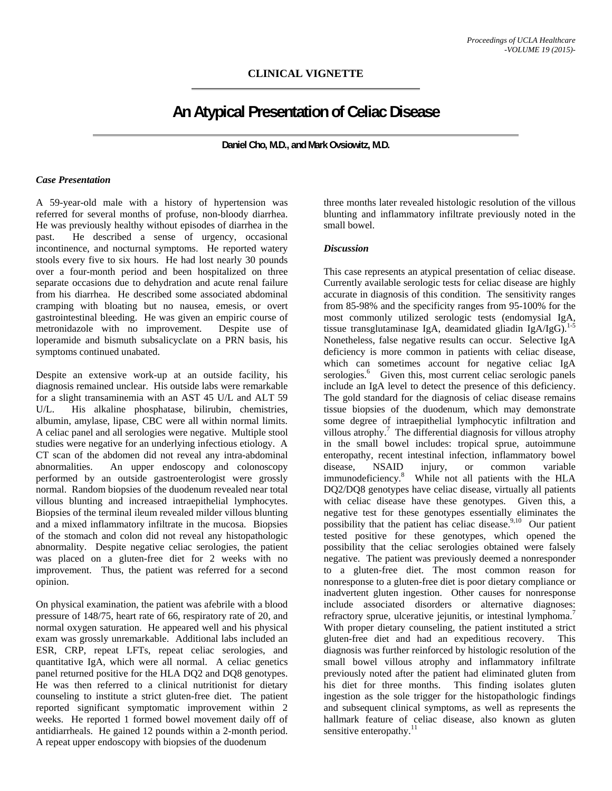## **CLINICAL VIGNETTE**

# **An Atypical Presentation of Celiac Disease**

**Daniel Cho, M.D., and Mark Ovsiowitz, M.D.** 

#### *Case Presentation*

A 59-year-old male with a history of hypertension was referred for several months of profuse, non-bloody diarrhea. He was previously healthy without episodes of diarrhea in the past. He described a sense of urgency, occasional incontinence, and nocturnal symptoms. He reported watery stools every five to six hours. He had lost nearly 30 pounds over a four-month period and been hospitalized on three separate occasions due to dehydration and acute renal failure from his diarrhea. He described some associated abdominal cramping with bloating but no nausea, emesis, or overt gastrointestinal bleeding. He was given an empiric course of metronidazole with no improvement. Despite use of loperamide and bismuth subsalicyclate on a PRN basis, his symptoms continued unabated.

Despite an extensive work-up at an outside facility, his diagnosis remained unclear. His outside labs were remarkable for a slight transaminemia with an AST 45 U/L and ALT 59 U/L. His alkaline phosphatase, bilirubin, chemistries, albumin, amylase, lipase, CBC were all within normal limits. A celiac panel and all serologies were negative. Multiple stool studies were negative for an underlying infectious etiology. A CT scan of the abdomen did not reveal any intra-abdominal abnormalities. An upper endoscopy and colonoscopy performed by an outside gastroenterologist were grossly normal. Random biopsies of the duodenum revealed near total villous blunting and increased intraepithelial lymphocytes. Biopsies of the terminal ileum revealed milder villous blunting and a mixed inflammatory infiltrate in the mucosa. Biopsies of the stomach and colon did not reveal any histopathologic abnormality. Despite negative celiac serologies, the patient was placed on a gluten-free diet for 2 weeks with no improvement. Thus, the patient was referred for a second opinion.

On physical examination, the patient was afebrile with a blood pressure of 148/75, heart rate of 66, respiratory rate of 20, and normal oxygen saturation. He appeared well and his physical exam was grossly unremarkable. Additional labs included an ESR, CRP, repeat LFTs, repeat celiac serologies, and quantitative IgA, which were all normal. A celiac genetics panel returned positive for the HLA DQ2 and DQ8 genotypes. He was then referred to a clinical nutritionist for dietary counseling to institute a strict gluten-free diet. The patient reported significant symptomatic improvement within 2 weeks. He reported 1 formed bowel movement daily off of antidiarrheals. He gained 12 pounds within a 2-month period. A repeat upper endoscopy with biopsies of the duodenum

three months later revealed histologic resolution of the villous blunting and inflammatory infiltrate previously noted in the small bowel.

### *Discussion*

This case represents an atypical presentation of celiac disease. Currently available serologic tests for celiac disease are highly accurate in diagnosis of this condition. The sensitivity ranges from 85-98% and the specificity ranges from 95-100% for the most commonly utilized serologic tests (endomysial IgA, tissue transglutaminase IgA, deamidated gliadin IgA/IgG).<sup>1-5</sup> Nonetheless, false negative results can occur. Selective IgA deficiency is more common in patients with celiac disease, which can sometimes account for negative celiac IgA serologies.<sup>6</sup> Given this, most current celiac serologic panels include an IgA level to detect the presence of this deficiency. The gold standard for the diagnosis of celiac disease remains tissue biopsies of the duodenum, which may demonstrate some degree of intraepithelial lymphocytic infiltration and villous atrophy.<sup>7</sup> The differential diagnosis for villous atrophy in the small bowel includes: tropical sprue, autoimmune enteropathy, recent intestinal infection, inflammatory bowel disease, NSAID injury, or common variable immunodeficiency.<sup>8</sup> While not all patients with the HLA DQ2/DQ8 genotypes have celiac disease, virtually all patients with celiac disease have these genotypes. Given this, a negative test for these genotypes essentially eliminates the possibility that the patient has celiac disease.<sup>9,10</sup> Our patient tested positive for these genotypes, which opened the possibility that the celiac serologies obtained were falsely negative. The patient was previously deemed a nonresponder to a gluten-free diet. The most common reason for nonresponse to a gluten-free diet is poor dietary compliance or inadvertent gluten ingestion. Other causes for nonresponse include associated disorders or alternative diagnoses: refractory sprue, ulcerative jejunitis, or intestinal lymphoma.<sup>7</sup> With proper dietary counseling, the patient instituted a strict gluten-free diet and had an expeditious recovery. This diagnosis was further reinforced by histologic resolution of the small bowel villous atrophy and inflammatory infiltrate previously noted after the patient had eliminated gluten from his diet for three months. This finding isolates gluten ingestion as the sole trigger for the histopathologic findings and subsequent clinical symptoms, as well as represents the hallmark feature of celiac disease, also known as gluten sensitive enteropathy. $^{11}$